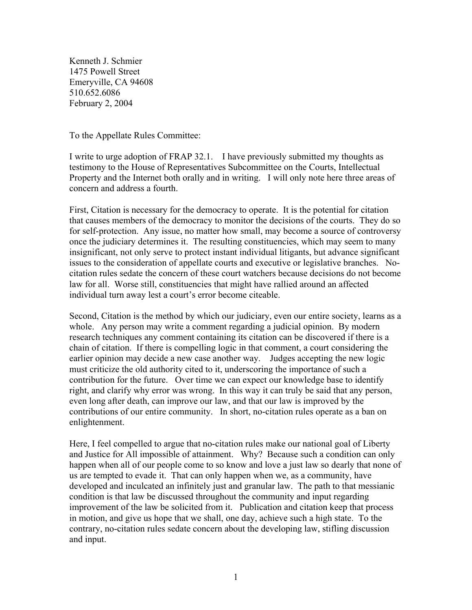Kenneth J. Schmier 1475 Powell Street Emeryville, CA 94608 510.652.6086 February 2, 2004

To the Appellate Rules Committee:

I write to urge adoption of FRAP 32.1. I have previously submitted my thoughts as testimony to the House of Representatives Subcommittee on the Courts, Intellectual Property and the Internet both orally and in writing. I will only note here three areas of concern and address a fourth.

First, Citation is necessary for the democracy to operate. It is the potential for citation that causes members of the democracy to monitor the decisions of the courts. They do so for self-protection. Any issue, no matter how small, may become a source of controversy once the judiciary determines it. The resulting constituencies, which may seem to many insignificant, not only serve to protect instant individual litigants, but advance significant issues to the consideration of appellate courts and executive or legislative branches. Nocitation rules sedate the concern of these court watchers because decisions do not become law for all. Worse still, constituencies that might have rallied around an affected individual turn away lest a court's error become citeable.

Second, Citation is the method by which our judiciary, even our entire society, learns as a whole. Any person may write a comment regarding a judicial opinion. By modern research techniques any comment containing its citation can be discovered if there is a chain of citation. If there is compelling logic in that comment, a court considering the earlier opinion may decide a new case another way. Judges accepting the new logic must criticize the old authority cited to it, underscoring the importance of such a contribution for the future. Over time we can expect our knowledge base to identify right, and clarify why error was wrong. In this way it can truly be said that any person, even long after death, can improve our law, and that our law is improved by the contributions of our entire community. In short, no-citation rules operate as a ban on enlightenment.

Here, I feel compelled to argue that no-citation rules make our national goal of Liberty and Justice for All impossible of attainment. Why? Because such a condition can only happen when all of our people come to so know and love a just law so dearly that none of us are tempted to evade it. That can only happen when we, as a community, have developed and inculcated an infinitely just and granular law. The path to that messianic condition is that law be discussed throughout the community and input regarding improvement of the law be solicited from it. Publication and citation keep that process in motion, and give us hope that we shall, one day, achieve such a high state. To the contrary, no-citation rules sedate concern about the developing law, stifling discussion and input.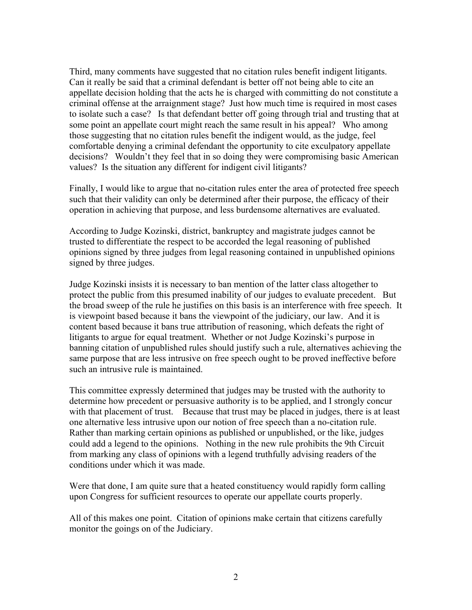Third, many comments have suggested that no citation rules benefit indigent litigants. Can it really be said that a criminal defendant is better off not being able to cite an appellate decision holding that the acts he is charged with committing do not constitute a criminal offense at the arraignment stage? Just how much time is required in most cases to isolate such a case? Is that defendant better off going through trial and trusting that at some point an appellate court might reach the same result in his appeal? Who among those suggesting that no citation rules benefit the indigent would, as the judge, feel comfortable denying a criminal defendant the opportunity to cite exculpatory appellate decisions? Wouldn't they feel that in so doing they were compromising basic American values? Is the situation any different for indigent civil litigants?

Finally, I would like to argue that no-citation rules enter the area of protected free speech such that their validity can only be determined after their purpose, the efficacy of their operation in achieving that purpose, and less burdensome alternatives are evaluated.

According to Judge Kozinski, district, bankruptcy and magistrate judges cannot be trusted to differentiate the respect to be accorded the legal reasoning of published opinions signed by three judges from legal reasoning contained in unpublished opinions signed by three judges.

Judge Kozinski insists it is necessary to ban mention of the latter class altogether to protect the public from this presumed inability of our judges to evaluate precedent. But the broad sweep of the rule he justifies on this basis is an interference with free speech. It is viewpoint based because it bans the viewpoint of the judiciary, our law. And it is content based because it bans true attribution of reasoning, which defeats the right of litigants to argue for equal treatment. Whether or not Judge Kozinski's purpose in banning citation of unpublished rules should justify such a rule, alternatives achieving the same purpose that are less intrusive on free speech ought to be proved ineffective before such an intrusive rule is maintained.

This committee expressly determined that judges may be trusted with the authority to determine how precedent or persuasive authority is to be applied, and I strongly concur with that placement of trust. Because that trust may be placed in judges, there is at least one alternative less intrusive upon our notion of free speech than a no-citation rule. Rather than marking certain opinions as published or unpublished, or the like, judges could add a legend to the opinions. Nothing in the new rule prohibits the 9th Circuit from marking any class of opinions with a legend truthfully advising readers of the conditions under which it was made.

Were that done, I am quite sure that a heated constituency would rapidly form calling upon Congress for sufficient resources to operate our appellate courts properly.

All of this makes one point. Citation of opinions make certain that citizens carefully monitor the goings on of the Judiciary.